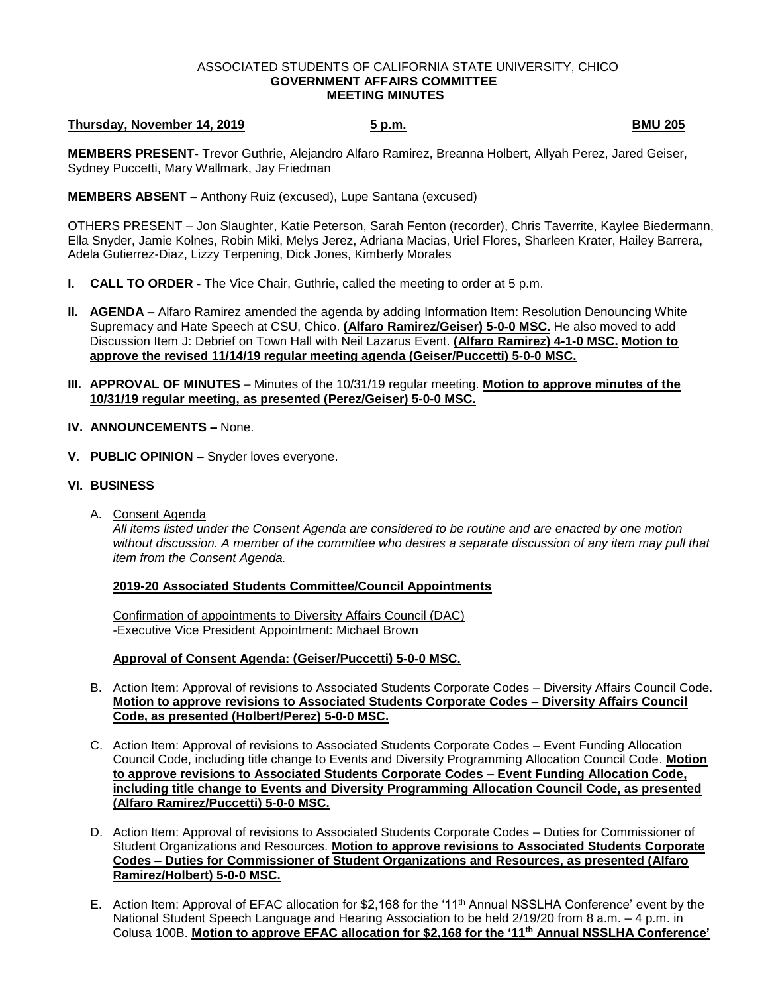#### ASSOCIATED STUDENTS OF CALIFORNIA STATE UNIVERSITY, CHICO **GOVERNMENT AFFAIRS COMMITTEE MEETING MINUTES**

## **Thursday, November 14, 2019 5 p.m. BMU 205**

**MEMBERS PRESENT-** Trevor Guthrie, Alejandro Alfaro Ramirez, Breanna Holbert, Allyah Perez, Jared Geiser, Sydney Puccetti, Mary Wallmark, Jay Friedman

**MEMBERS ABSENT –** Anthony Ruiz (excused), Lupe Santana (excused)

OTHERS PRESENT – Jon Slaughter, Katie Peterson, Sarah Fenton (recorder), Chris Taverrite, Kaylee Biedermann, Ella Snyder, Jamie Kolnes, Robin Miki, Melys Jerez, Adriana Macias, Uriel Flores, Sharleen Krater, Hailey Barrera, Adela Gutierrez-Diaz, Lizzy Terpening, Dick Jones, Kimberly Morales

- **I. CALL TO ORDER -** The Vice Chair, Guthrie, called the meeting to order at 5 p.m.
- **II. AGENDA –** Alfaro Ramirez amended the agenda by adding Information Item: Resolution Denouncing White Supremacy and Hate Speech at CSU, Chico. **(Alfaro Ramirez/Geiser) 5-0-0 MSC.** He also moved to add Discussion Item J: Debrief on Town Hall with Neil Lazarus Event. **(Alfaro Ramirez) 4-1-0 MSC. Motion to approve the revised 11/14/19 regular meeting agenda (Geiser/Puccetti) 5-0-0 MSC.**
- **III. APPROVAL OF MINUTES** Minutes of the 10/31/19 regular meeting. **Motion to approve minutes of the 10/31/19 regular meeting, as presented (Perez/Geiser) 5-0-0 MSC.**

#### **IV. ANNOUNCEMENTS –** None.

**V. PUBLIC OPINION –** Snyder loves everyone.

## **VI. BUSINESS**

A. Consent Agenda

*All items listed under the Consent Agenda are considered to be routine and are enacted by one motion without discussion. A member of the committee who desires a separate discussion of any item may pull that item from the Consent Agenda.* 

### **2019-20 Associated Students Committee/Council Appointments**

Confirmation of appointments to Diversity Affairs Council (DAC) -Executive Vice President Appointment: Michael Brown

#### **Approval of Consent Agenda: (Geiser/Puccetti) 5-0-0 MSC.**

- B. Action Item: Approval of revisions to Associated Students Corporate Codes Diversity Affairs Council Code. **Motion to approve revisions to Associated Students Corporate Codes – Diversity Affairs Council Code, as presented (Holbert/Perez) 5-0-0 MSC.**
- C. Action Item: Approval of revisions to Associated Students Corporate Codes Event Funding Allocation Council Code, including title change to Events and Diversity Programming Allocation Council Code. **Motion to approve revisions to Associated Students Corporate Codes – Event Funding Allocation Code, including title change to Events and Diversity Programming Allocation Council Code, as presented (Alfaro Ramirez/Puccetti) 5-0-0 MSC.**
- D. Action Item: Approval of revisions to Associated Students Corporate Codes Duties for Commissioner of Student Organizations and Resources. **Motion to approve revisions to Associated Students Corporate Codes – Duties for Commissioner of Student Organizations and Resources, as presented (Alfaro Ramirez/Holbert) 5-0-0 MSC.**
- E. Action Item: Approval of EFAC allocation for \$2,168 for the '11th Annual NSSLHA Conference' event by the National Student Speech Language and Hearing Association to be held 2/19/20 from 8 a.m. – 4 p.m. in Colusa 100B. **Motion to approve EFAC allocation for \$2,168 for the '11th Annual NSSLHA Conference'**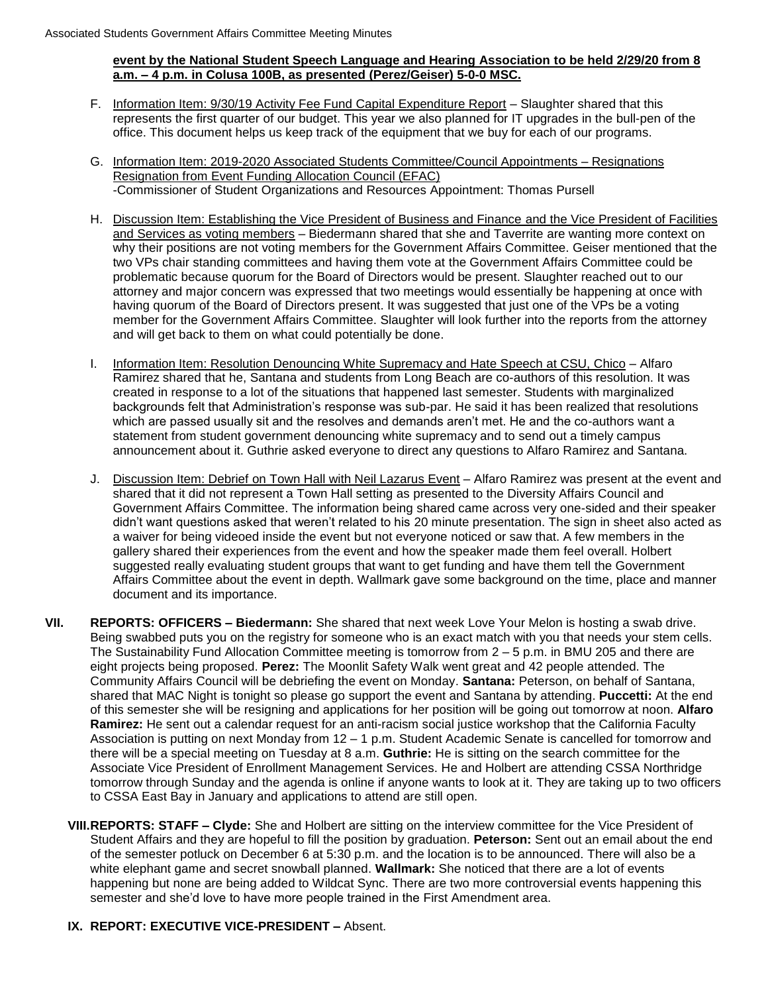### **event by the National Student Speech Language and Hearing Association to be held 2/29/20 from 8 a.m. – 4 p.m. in Colusa 100B, as presented (Perez/Geiser) 5-0-0 MSC.**

- F. Information Item: 9/30/19 Activity Fee Fund Capital Expenditure Report Slaughter shared that this represents the first quarter of our budget. This year we also planned for IT upgrades in the bull-pen of the office. This document helps us keep track of the equipment that we buy for each of our programs.
- G. Information Item: 2019-2020 Associated Students Committee/Council Appointments Resignations Resignation from Event Funding Allocation Council (EFAC) -Commissioner of Student Organizations and Resources Appointment: Thomas Pursell
- H. Discussion Item: Establishing the Vice President of Business and Finance and the Vice President of Facilities and Services as voting members - Biedermann shared that she and Taverrite are wanting more context on why their positions are not voting members for the Government Affairs Committee. Geiser mentioned that the two VPs chair standing committees and having them vote at the Government Affairs Committee could be problematic because quorum for the Board of Directors would be present. Slaughter reached out to our attorney and major concern was expressed that two meetings would essentially be happening at once with having quorum of the Board of Directors present. It was suggested that just one of the VPs be a voting member for the Government Affairs Committee. Slaughter will look further into the reports from the attorney and will get back to them on what could potentially be done.
- I. Information Item: Resolution Denouncing White Supremacy and Hate Speech at CSU, Chico Alfaro Ramirez shared that he, Santana and students from Long Beach are co-authors of this resolution. It was created in response to a lot of the situations that happened last semester. Students with marginalized backgrounds felt that Administration's response was sub-par. He said it has been realized that resolutions which are passed usually sit and the resolves and demands aren't met. He and the co-authors want a statement from student government denouncing white supremacy and to send out a timely campus announcement about it. Guthrie asked everyone to direct any questions to Alfaro Ramirez and Santana.
- J. Discussion Item: Debrief on Town Hall with Neil Lazarus Event Alfaro Ramirez was present at the event and shared that it did not represent a Town Hall setting as presented to the Diversity Affairs Council and Government Affairs Committee. The information being shared came across very one-sided and their speaker didn't want questions asked that weren't related to his 20 minute presentation. The sign in sheet also acted as a waiver for being videoed inside the event but not everyone noticed or saw that. A few members in the gallery shared their experiences from the event and how the speaker made them feel overall. Holbert suggested really evaluating student groups that want to get funding and have them tell the Government Affairs Committee about the event in depth. Wallmark gave some background on the time, place and manner document and its importance.
- **VII. REPORTS: OFFICERS – Biedermann:** She shared that next week Love Your Melon is hosting a swab drive. Being swabbed puts you on the registry for someone who is an exact match with you that needs your stem cells. The Sustainability Fund Allocation Committee meeting is tomorrow from 2 – 5 p.m. in BMU 205 and there are eight projects being proposed. **Perez:** The Moonlit Safety Walk went great and 42 people attended. The Community Affairs Council will be debriefing the event on Monday. **Santana:** Peterson, on behalf of Santana, shared that MAC Night is tonight so please go support the event and Santana by attending. **Puccetti:** At the end of this semester she will be resigning and applications for her position will be going out tomorrow at noon. **Alfaro Ramirez:** He sent out a calendar request for an anti-racism social justice workshop that the California Faculty Association is putting on next Monday from 12 – 1 p.m. Student Academic Senate is cancelled for tomorrow and there will be a special meeting on Tuesday at 8 a.m. **Guthrie:** He is sitting on the search committee for the Associate Vice President of Enrollment Management Services. He and Holbert are attending CSSA Northridge tomorrow through Sunday and the agenda is online if anyone wants to look at it. They are taking up to two officers to CSSA East Bay in January and applications to attend are still open.
	- **VIII.REPORTS: STAFF – Clyde:** She and Holbert are sitting on the interview committee for the Vice President of Student Affairs and they are hopeful to fill the position by graduation. **Peterson:** Sent out an email about the end of the semester potluck on December 6 at 5:30 p.m. and the location is to be announced. There will also be a white elephant game and secret snowball planned. **Wallmark:** She noticed that there are a lot of events happening but none are being added to Wildcat Sync. There are two more controversial events happening this semester and she'd love to have more people trained in the First Amendment area.

# **IX. REPORT: EXECUTIVE VICE-PRESIDENT –** Absent.